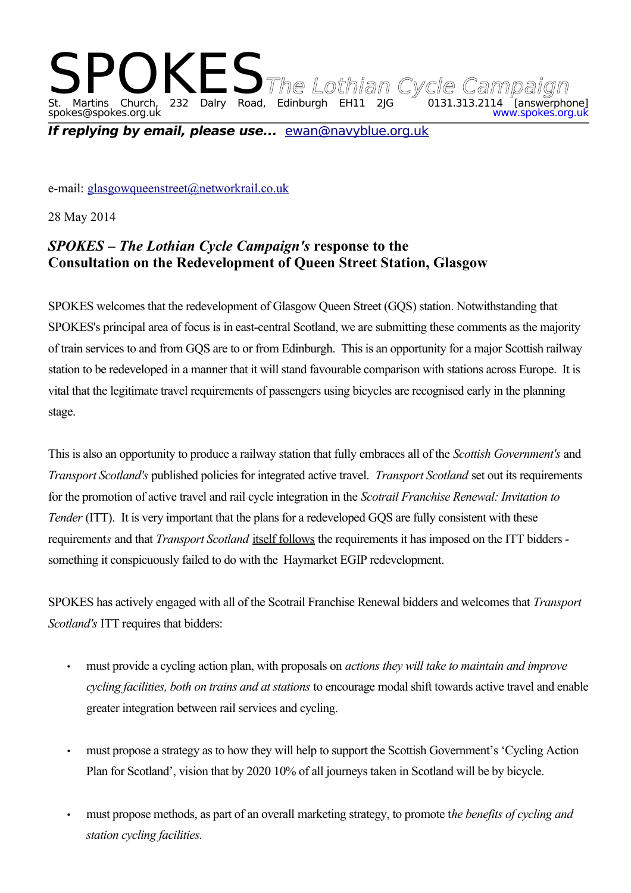## SPOKES The Lothian Cycle Campaign<br>St. Martins Church, 232 Dalry Road, Edinburgh EH11 2JG 0131.313.2114 [answerphone] st. Martins Church, 232 Dalry Road, Edinburgh EH11<br>spokes@spokes.org.uk

**If replying by email, please use...** [ewan@navyblue.org.uk](mailto:ewan@navyblue.org.uk)

e-mail: [glasgowqueenstreet@networkrail.co.uk](mailto:glasgowqueenstreet@networkrail.co.uk)

28 May 2014

## *SPOKES – The Lothian Cycle Campaign's* **response to the Consultation on the Redevelopment of Queen Street Station, Glasgow**

SPOKES welcomes that the redevelopment of Glasgow Queen Street (GQS) station. Notwithstanding that SPOKES's principal area of focus is in east-central Scotland, we are submitting these comments as the majority of train services to and from GQS are to or from Edinburgh. This is an opportunity for a major Scottish railway station to be redeveloped in a manner that it will stand favourable comparison with stations across Europe. It is vital that the legitimate travel requirements of passengers using bicycles are recognised early in the planning stage.

This is also an opportunity to produce a railway station that fully embraces all of the *Scottish Government's* and *Transport Scotland's* published policies for integrated active travel. *Transport Scotland* set out its requirements for the promotion of active travel and rail cycle integration in the *Scotrail Franchise Renewal: Invitation to Tender* (ITT). It is very important that the plans for a redeveloped GOS are fully consistent with these requirement*s* and that *Transport Scotland* itself follows the requirements it has imposed on the ITT bidders something it conspicuously failed to do with the Haymarket EGIP redevelopment.

SPOKES has actively engaged with all of the Scotrail Franchise Renewal bidders and welcomes that *Transport Scotland's* ITT requires that bidders:

- must provide a cycling action plan, with proposals on *actions they will take to maintain and improve cycling facilities, both on trains and at stations* to encourage modal shift towards active travel and enable greater integration between rail services and cycling.
- must propose a strategy as to how they will help to support the Scottish Government's 'Cycling Action Plan for Scotland', vision that by 2020 10% of all journeys taken in Scotland will be by bicycle.
- must propose methods, as part of an overall marketing strategy, to promote t*he benefits of cycling and station cycling facilities.*